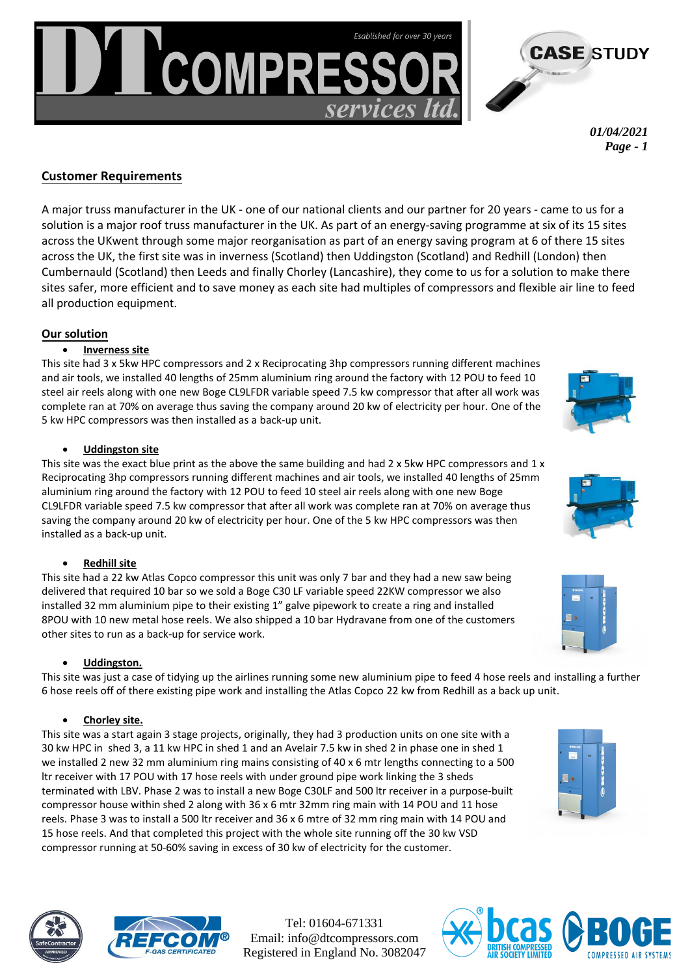*April 2021 Page - 1* 

**CASE STUDY** 

# **Customer requirements**

As part of a major re-organisation to reduce energy consumption at six of its 15 sites across the UK, one of our long-standing, national clients came to us for a solution to help improve safety and efficiency on-site, as well as make cost savings. A major roof truss manufacturer, the client has partnered with DT Compressors for 20 years, so we understood the business and its use of multiple compressors and air-lines to feed production equipment. We were able to offer working solutions for the client's sites at Inverness, Uddington, and Cumbernauld in Scotland, and at Redhill, Leeds and Chorley in England.

## **Our solution**

#### • **Inverness**

This site had 3 x 5kw HPC compressors and 2 x reciprocating 3hp compressors running different machines and air tools. We installed 40 lengths of 25mm aluminium ring around the factory, with 12 POUs to feed 10 steel air reels, along with one new Boge CL9LFDR variable speed 7.5 kw compressor. After all work was completed the compressor ran at 70% on average, saving the company around 20kw of electricity per hour. One of the 5kw HPC compressors was installed as a back-up unit.

#### • **Uddingston**

This site was the exact blue print as the Inverness project. Two 5kw HPC compressors and one reciprocating 3hp compressor were running a number of different machines and air tools. We installed 40 lengths of 25mm aluminium ring around the factory, with 12 POUs to feed 10 steel air reels, along with one new Boge CL9LFDR variable speed 7.5kw compressor. After all work was completed the compressor ran at 70% on average, saving the company around 20kw of electricity per hour. One of the 5kw HPC compressors was installed as a back-up unit.

## • **Redhill**

The Redhill site in London had a 22kw Atlas Copco compressor. This unit was only 7 bar and the client had a new saw being delivered that required 10 bar, so we provided a Boge C30 LF variable speed 22kw compressor. We also installed 32mm aluminium pipe to their existing 1" galve pipework to create a ring and installed 8 POUs with 10 new metal hose reels. We shipped a 10 bar Hydravane from one of the manufacturer's other sites to run as a back-up for service work.

## • **Cumbernauld**

One of the more simple projects; we tidied up the airlines, running some new aluminium pipe to feed four hose reels, and installing a further six hose reels off of the existing pipe work. We installed the Atlas Copco 22kw from Redhill as a back-up unit.

## • **Chorley**

This site was a "start again" 3-stage project. Originally, the client had three production units on one site: a 11kw HPC in shed 1, an Avelair 7.5kw in shed 2, and a 30kw HPC in shed 3. **Phase One:** In shed 1 we installed two new 32mm aluminium ring mains, consisting of 40 x 6mtr lengths connecting to a 500ltr receiver, with 17 POUs and 17 hose reels with underground pipe work

linking the 3 sheds, terminated with LBV.

W**zW** We installed a new Boge C30LF and 500ltr receiver in a purpose-built compressor house within shed 2, along with 36 x 6mtr of 32mm ring main, 14 POUs and 11 hose reels.

WZ WInstalled a 500ltr receiver and 36 x 6mtr of 32mm ring main, 14 POUs and 15 hose reels. The completed project with the whole site running off the 30kw VSD compressor at 50-60%, saved the manufacturer in excess of 30kw of electricity per hour.